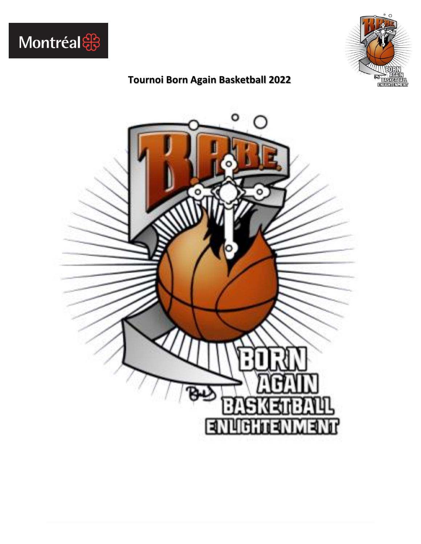



#### **Tournoi Born Again Basketball 2022**

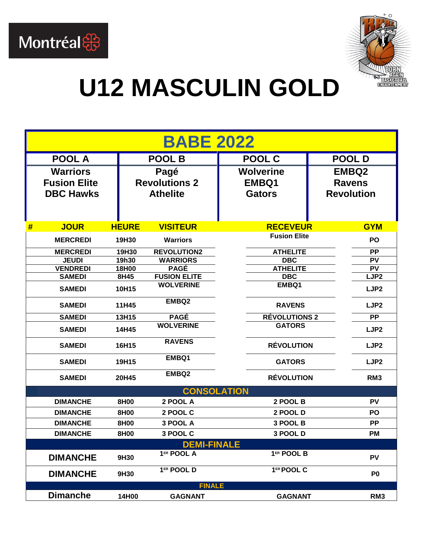



### **U12 MASCULIN GOLD**

|   | <b>BABE 2022</b>                 |                       |                                    |                               |                        |  |  |  |  |  |
|---|----------------------------------|-----------------------|------------------------------------|-------------------------------|------------------------|--|--|--|--|--|
|   | <b>POOL A</b>                    |                       | <b>POOL B</b>                      | POOL C                        | <b>POOLD</b>           |  |  |  |  |  |
|   | <b>Warriors</b>                  |                       | Pagé                               | <b>Wolverine</b>              | <b>EMBQ2</b>           |  |  |  |  |  |
|   | <b>Fusion Elite</b>              |                       | <b>Revolutions 2</b>               | EMBQ1                         | <b>Ravens</b>          |  |  |  |  |  |
|   | <b>DBC Hawks</b>                 |                       | <b>Athelite</b>                    | <b>Gators</b>                 | <b>Revolution</b>      |  |  |  |  |  |
|   |                                  |                       |                                    |                               |                        |  |  |  |  |  |
| # | <b>JOUR</b>                      | <b>HEURE</b>          | <b>VISITEUR</b>                    | <b>RECEVEUR</b>               | <b>GYM</b>             |  |  |  |  |  |
|   | <b>MERCREDI</b>                  | 19H30                 | <b>Warriors</b>                    | <b>Fusion Elite</b>           | PO                     |  |  |  |  |  |
|   | <b>MERCREDI</b>                  | 19H30                 | <b>REVOLUTION2</b>                 | <b>ATHELITE</b>               | <b>PP</b>              |  |  |  |  |  |
|   | <b>JEUDI</b>                     | 19h30<br><b>18H00</b> | <b>WARRIORS</b>                    | <b>DBC</b>                    | PV                     |  |  |  |  |  |
|   | <b>VENDREDI</b><br><b>SAMEDI</b> | 8H45                  | <b>PAGÉ</b><br><b>FUSION ELITE</b> | <b>ATHELITE</b><br><b>DBC</b> | PV<br>LJP <sub>2</sub> |  |  |  |  |  |
|   |                                  |                       | <b>WOLVERINE</b>                   | EMBQ1                         |                        |  |  |  |  |  |
|   | <b>SAMEDI</b>                    | 10H15                 |                                    |                               | LJP <sub>2</sub>       |  |  |  |  |  |
|   | <b>SAMEDI</b>                    | 11H45                 | EMBQ2                              | <b>RAVENS</b>                 | LJP <sub>2</sub>       |  |  |  |  |  |
|   | <b>SAMEDI</b>                    | 13H15                 | <b>PAGÉ</b>                        | <b>RÉVOLUTIONS 2</b>          | PP                     |  |  |  |  |  |
|   | <b>SAMEDI</b>                    | 14H45                 | <b>WOLVERINE</b>                   | <b>GATORS</b>                 | LJP <sub>2</sub>       |  |  |  |  |  |
|   | <b>SAMEDI</b>                    | 16H15                 | <b>RAVENS</b>                      | <b>RÉVOLUTION</b>             | LJP <sub>2</sub>       |  |  |  |  |  |
|   | <b>SAMEDI</b>                    | 19H15                 | EMBQ1                              | <b>GATORS</b>                 | LJP <sub>2</sub>       |  |  |  |  |  |
|   | <b>SAMEDI</b>                    | 20H45                 | EMBQ2                              | <b>RÉVOLUTION</b>             | RM <sub>3</sub>        |  |  |  |  |  |
|   |                                  |                       | <b>CONSOLATION</b>                 |                               |                        |  |  |  |  |  |
|   | <b>DIMANCHE</b>                  | 8H00                  | 2 POOL A                           | 2 POOL B                      | <b>PV</b>              |  |  |  |  |  |
|   | <b>DIMANCHE</b>                  | 8H00                  | 2 POOL C                           | 2 POOL D                      | PO                     |  |  |  |  |  |
|   | <b>DIMANCHE</b>                  | 8H00                  | 3 POOL A                           | 3 POOL B                      | <b>PP</b>              |  |  |  |  |  |
|   | <b>DIMANCHE</b>                  | 8H00                  | 3 POOL C                           | 3 POOL D                      | <b>PM</b>              |  |  |  |  |  |
|   |                                  |                       | <b>DEMI-FINALE</b>                 |                               |                        |  |  |  |  |  |
|   | <b>DIMANCHE</b>                  | 9H30                  | 1ER POOL A                         | 1ER POOL B                    | PV                     |  |  |  |  |  |
|   | <b>DIMANCHE</b>                  | 9H30                  | 1ER POOL D                         | 1ER POOL C                    | P <sub>0</sub>         |  |  |  |  |  |
|   |                                  |                       | <b>FINALE</b>                      |                               |                        |  |  |  |  |  |
|   | <b>Dimanche</b>                  | 14H00                 | <b>GAGNANT</b>                     | <b>GAGNANT</b>                | RM <sub>3</sub>        |  |  |  |  |  |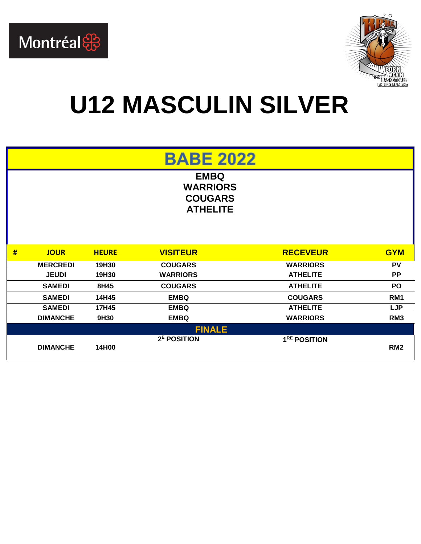



### **U12 MASCULIN SILVER**

#### **BABE 2022**

**EMBQ WARRIORS COUGARS ATHELITE**

| # | <b>JOUR</b>     | <b>HEURE</b> | <b>VISITEUR</b>         | <b>RECEVEUR</b>          | <b>GYM</b>      |
|---|-----------------|--------------|-------------------------|--------------------------|-----------------|
|   | <b>MERCREDI</b> | 19H30        | <b>COUGARS</b>          | <b>WARRIORS</b>          | PV              |
|   | <b>JEUDI</b>    | 19H30        | <b>WARRIORS</b>         | <b>ATHELITE</b>          | <b>PP</b>       |
|   | <b>SAMEDI</b>   | 8H45         | <b>COUGARS</b>          | <b>ATHELITE</b>          | <b>PO</b>       |
|   | <b>SAMEDI</b>   | 14H45        | <b>EMBQ</b>             | <b>COUGARS</b>           | RM <sub>1</sub> |
|   | <b>SAMEDI</b>   | 17H45        | <b>EMBQ</b>             | <b>ATHELITE</b>          | <b>LJP</b>      |
|   | <b>DIMANCHE</b> | 9H30         | <b>EMBQ</b>             | <b>WARRIORS</b>          | RM <sub>3</sub> |
|   |                 |              | <b>FINALE</b>           |                          |                 |
|   |                 |              | 2 <sup>E</sup> POSITION | 1 <sup>RE</sup> POSITION |                 |
|   | <b>DIMANCHE</b> | 14H00        |                         |                          | RM <sub>2</sub> |
|   |                 |              |                         |                          |                 |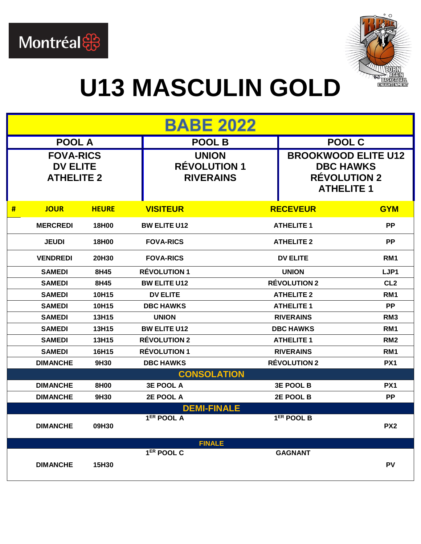



### **U13 MASCULIN GOLD**

|   | <b>BABE 2022</b>                                         |              |                                         |                    |                     |                                                                                            |  |  |
|---|----------------------------------------------------------|--------------|-----------------------------------------|--------------------|---------------------|--------------------------------------------------------------------------------------------|--|--|
|   | <b>POOL A</b>                                            |              |                                         | <b>POOL B</b>      |                     | POOL C                                                                                     |  |  |
|   | <b>FOVA-RICS</b><br><b>DV ELITE</b><br><b>ATHELITE 2</b> |              | <b>RÉVOLUTION 1</b><br><b>RIVERAINS</b> | <b>UNION</b>       |                     | <b>BROOKWOOD ELITE U12</b><br><b>DBC HAWKS</b><br><b>RÉVOLUTION 2</b><br><b>ATHELITE 1</b> |  |  |
| # | <b>JOUR</b>                                              | <b>HEURE</b> | <b>VISITEUR</b>                         |                    | <b>RECEVEUR</b>     | <b>GYM</b>                                                                                 |  |  |
|   | <b>MERCREDI</b>                                          | 18H00        | <b>BW ELITE U12</b>                     |                    | <b>ATHELITE 1</b>   | <b>PP</b>                                                                                  |  |  |
|   | <b>JEUDI</b>                                             | 18H00        | <b>FOVA-RICS</b>                        |                    | <b>ATHELITE 2</b>   | <b>PP</b>                                                                                  |  |  |
|   | <b>VENDREDI</b>                                          | 20H30        | <b>FOVA-RICS</b>                        |                    | <b>DV ELITE</b>     | RM <sub>1</sub>                                                                            |  |  |
|   | <b>SAMEDI</b>                                            | 8H45         | <b>RÉVOLUTION 1</b>                     |                    | <b>UNION</b>        | LJP1                                                                                       |  |  |
|   | <b>SAMEDI</b>                                            | 8H45         | <b>BW ELITE U12</b>                     |                    | <b>RÉVOLUTION 2</b> | CL <sub>2</sub>                                                                            |  |  |
|   | <b>SAMEDI</b>                                            | 10H15        | <b>DV ELITE</b>                         |                    | <b>ATHELITE 2</b>   | RM <sub>1</sub>                                                                            |  |  |
|   | <b>SAMEDI</b>                                            | 10H15        | <b>DBC HAWKS</b>                        |                    | <b>ATHELITE 1</b>   | <b>PP</b>                                                                                  |  |  |
|   | <b>SAMEDI</b>                                            | 13H15        | <b>UNION</b>                            |                    | <b>RIVERAINS</b>    | RM <sub>3</sub>                                                                            |  |  |
|   | <b>SAMEDI</b>                                            | 13H15        | <b>BW ELITE U12</b>                     |                    | <b>DBC HAWKS</b>    | RM <sub>1</sub>                                                                            |  |  |
|   | <b>SAMEDI</b>                                            | 13H15        | <b>RÉVOLUTION 2</b>                     |                    | <b>ATHELITE 1</b>   | RM <sub>2</sub>                                                                            |  |  |
|   | <b>SAMEDI</b>                                            | 16H15        | <b>RÉVOLUTION 1</b>                     |                    | <b>RIVERAINS</b>    | RM <sub>1</sub>                                                                            |  |  |
|   | <b>DIMANCHE</b>                                          | 9H30         | <b>DBC HAWKS</b>                        |                    | <b>RÉVOLUTION 2</b> | PX <sub>1</sub>                                                                            |  |  |
|   |                                                          |              |                                         | <b>CONSOLATION</b> |                     |                                                                                            |  |  |
|   | <b>DIMANCHE</b>                                          | 8H00         | <b>3E POOL A</b>                        |                    | <b>3E POOL B</b>    | PX <sub>1</sub>                                                                            |  |  |
|   | <b>DIMANCHE</b>                                          | 9H30         | 2E POOL A                               |                    | 2E POOL B           | <b>PP</b>                                                                                  |  |  |
|   | <b>DIMANCHE</b>                                          | 09H30        | $1ER$ POOL A                            | <b>DEMI-FINALE</b> | $1ER$ POOL B        | PX <sub>2</sub>                                                                            |  |  |
|   |                                                          |              |                                         | <b>FINALE</b>      |                     |                                                                                            |  |  |
|   | <b>DIMANCHE</b>                                          | 15H30        | $1ER$ POOL C                            |                    | <b>GAGNANT</b>      | PV                                                                                         |  |  |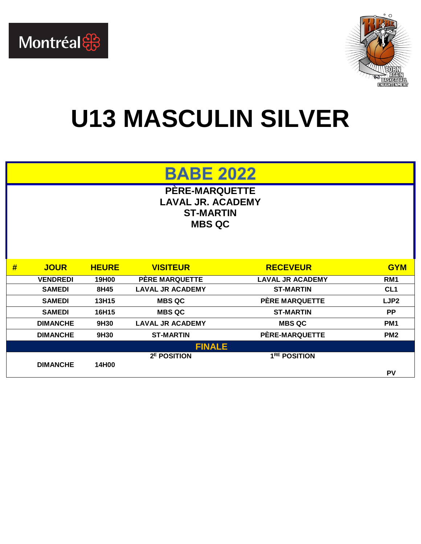



#### **U13 MASCULIN SILVER**

#### **BABE 2022**

**PÈRE-MARQUETTE LAVAL JR. ACADEMY ST-MARTIN MBS QC**

| #             | <b>JOUR</b>     | <b>HEURE</b> | <b>VISITEUR</b>         | <b>RECEVEUR</b>          | <b>GYM</b>       |  |
|---------------|-----------------|--------------|-------------------------|--------------------------|------------------|--|
|               | <b>VENDREDI</b> | 19H00        | <b>PERE MARQUETTE</b>   | <b>LAVAL JR ACADEMY</b>  | RM <sub>1</sub>  |  |
|               | <b>SAMEDI</b>   | 8H45         | <b>LAVAL JR ACADEMY</b> | <b>ST-MARTIN</b>         | CL <sub>1</sub>  |  |
|               | <b>SAMEDI</b>   | 13H15        | <b>MBS QC</b>           | PÈRE MARQUETTE           | LJP <sub>2</sub> |  |
|               | <b>SAMEDI</b>   | 16H15        | <b>MBS QC</b>           | <b>ST-MARTIN</b>         | PP               |  |
|               | <b>DIMANCHE</b> | 9H30         | <b>LAVAL JR ACADEMY</b> | <b>MBS QC</b>            | PM <sub>1</sub>  |  |
|               | <b>DIMANCHE</b> | 9H30         | <b>ST-MARTIN</b>        | PÈRE-MARQUETTE           | PM <sub>2</sub>  |  |
| <b>FINALE</b> |                 |              |                         |                          |                  |  |
|               | <b>DIMANCHE</b> | 14H00        | 2 <sup>E</sup> POSITION | 1 <sup>RE</sup> POSITION | P٧               |  |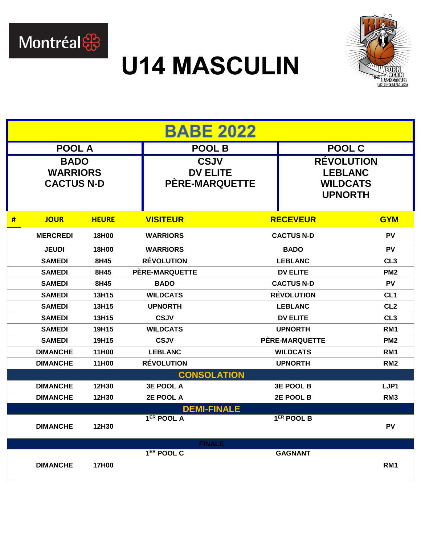

#### **U14 MASCULIN**



| <b>BABE 2022</b> |                                                     |              |                                                         |                   |                                                                          |                 |  |  |
|------------------|-----------------------------------------------------|--------------|---------------------------------------------------------|-------------------|--------------------------------------------------------------------------|-----------------|--|--|
|                  | <b>POOL A</b>                                       |              | <b>POOL B</b>                                           |                   | <b>POOL C</b>                                                            |                 |  |  |
|                  | <b>BADO</b><br><b>WARRIORS</b><br><b>CACTUS N-D</b> |              | <b>CSJV</b><br><b>DV ELITE</b><br><b>PÈRE-MARQUETTE</b> |                   | <b>RÉVOLUTION</b><br><b>LEBLANC</b><br><b>WILDCATS</b><br><b>UPNORTH</b> |                 |  |  |
| #                | <b>JOUR</b>                                         | <b>HEURE</b> | <b>VISITEUR</b>                                         |                   | <b>RECEVEUR</b>                                                          | <b>GYM</b>      |  |  |
|                  | <b>MERCREDI</b>                                     | 18H00        | <b>WARRIORS</b>                                         |                   | <b>CACTUS N-D</b>                                                        | <b>PV</b>       |  |  |
|                  | <b>JEUDI</b>                                        | 18H00        | <b>WARRIORS</b>                                         |                   | <b>BADO</b>                                                              | <b>PV</b>       |  |  |
|                  | <b>SAMEDI</b>                                       | 8H45         | <b>RÉVOLUTION</b>                                       |                   | <b>LEBLANC</b>                                                           | CL <sub>3</sub> |  |  |
|                  | <b>SAMEDI</b>                                       | 8H45         | PERE-MARQUETTE                                          | <b>DV ELITE</b>   |                                                                          | PM <sub>2</sub> |  |  |
|                  | <b>SAMEDI</b>                                       | 8H45         | <b>BADO</b>                                             | <b>CACTUS N-D</b> |                                                                          | <b>PV</b>       |  |  |
|                  | <b>SAMEDI</b>                                       | 13H15        | <b>WILDCATS</b>                                         | <b>RÉVOLUTION</b> |                                                                          | CL <sub>1</sub> |  |  |
|                  | <b>SAMEDI</b>                                       | 13H15        | <b>UPNORTH</b>                                          | <b>LEBLANC</b>    |                                                                          | CL <sub>2</sub> |  |  |
|                  | <b>SAMEDI</b>                                       | 13H15        | <b>CSJV</b>                                             |                   | <b>DV ELITE</b>                                                          | CL <sub>3</sub> |  |  |
|                  | <b>SAMEDI</b>                                       | 19H15        | <b>WILDCATS</b>                                         |                   | <b>UPNORTH</b>                                                           | RM <sub>1</sub> |  |  |
|                  | <b>SAMEDI</b>                                       | 19H15        | <b>CSJV</b>                                             |                   | PERE-MARQUETTE                                                           | PM <sub>2</sub> |  |  |
|                  | <b>DIMANCHE</b>                                     | 11H00        | <b>LEBLANC</b>                                          |                   | <b>WILDCATS</b>                                                          | RM <sub>1</sub> |  |  |
|                  | <b>DIMANCHE</b>                                     | 11H00        | <b>RÉVOLUTION</b>                                       |                   | <b>UPNORTH</b>                                                           | RM <sub>2</sub> |  |  |
|                  |                                                     |              | <b>CONSOLATION</b>                                      |                   |                                                                          |                 |  |  |
|                  | <b>DIMANCHE</b>                                     | 12H30        | <b>3E POOL A</b>                                        |                   | <b>3E POOL B</b>                                                         | LJP1            |  |  |
|                  | <b>DIMANCHE</b>                                     | 12H30        | 2E POOL A                                               |                   | 2E POOL B                                                                | RM <sub>3</sub> |  |  |
|                  |                                                     |              | <b>DEMI-FINALE</b>                                      |                   |                                                                          |                 |  |  |
|                  | <b>DIMANCHE</b>                                     | 12H30        | 1 <sup>ER</sup> POOL A                                  |                   | $1ER$ POOL B                                                             | PV              |  |  |
|                  |                                                     |              | <b>FINALE</b>                                           |                   |                                                                          |                 |  |  |
|                  | <b>DIMANCHE</b>                                     | 17H00        | $1ER$ POOL C                                            |                   | <b>GAGNANT</b>                                                           | RM <sub>1</sub> |  |  |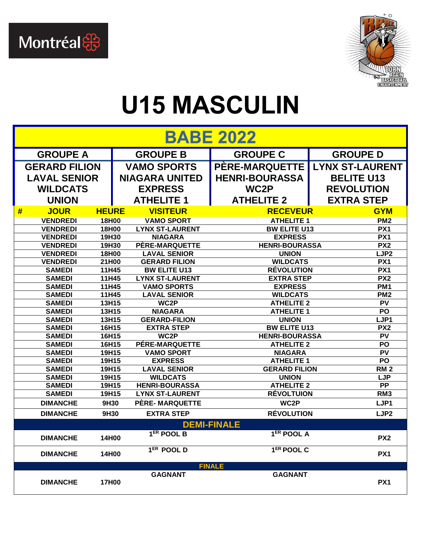



### **U15 MASCULIN**

| <b>BABE 2022</b>                         |                                                          |                    |                                                                                                                                                                                                                                                                                                                                                                |                          |  |  |  |  |
|------------------------------------------|----------------------------------------------------------|--------------------|----------------------------------------------------------------------------------------------------------------------------------------------------------------------------------------------------------------------------------------------------------------------------------------------------------------------------------------------------------------|--------------------------|--|--|--|--|
| <b>GROUPE A</b>                          | <b>GROUPE B</b>                                          |                    | <b>GROUPE C</b>                                                                                                                                                                                                                                                                                                                                                | <b>GROUPE D</b>          |  |  |  |  |
| <b>GERARD FILION</b>                     | <b>VAMO SPORTS</b>                                       |                    | <b>PERE-MARQUETTE</b>                                                                                                                                                                                                                                                                                                                                          | <b>LYNX ST-LAURENT</b>   |  |  |  |  |
| <b>LAVAL SENIOR</b>                      | <b>NIAGARA UNITED</b>                                    |                    | <b>HENRI-BOURASSA</b>                                                                                                                                                                                                                                                                                                                                          | <b>BELITE U13</b>        |  |  |  |  |
| <b>WILDCATS</b>                          | <b>EXPRESS</b>                                           |                    | WC2P                                                                                                                                                                                                                                                                                                                                                           | <b>REVOLUTION</b>        |  |  |  |  |
| <b>UNION</b>                             | <b>ATHELITE 1</b>                                        |                    | <b>ATHELITE 2</b>                                                                                                                                                                                                                                                                                                                                              | <b>EXTRA STEP</b>        |  |  |  |  |
| <b>JOUR</b><br>#                         | <b>VISITEUR</b><br><b>HEURE</b>                          |                    | <b>RECEVEUR</b>                                                                                                                                                                                                                                                                                                                                                | <b>GYM</b>               |  |  |  |  |
| <b>VENDREDI</b>                          | 18H00<br><b>VAMO SPORT</b>                               |                    | <b>ATHELITE 1</b>                                                                                                                                                                                                                                                                                                                                              | PM <sub>2</sub>          |  |  |  |  |
| <b>VENDREDI</b>                          | 18H00<br><b>LYNX ST-LAURENT</b>                          |                    | <b>BW ELITE U13</b>                                                                                                                                                                                                                                                                                                                                            | PX1                      |  |  |  |  |
| <b>VENDREDI</b>                          | 19H30<br><b>NIAGARA</b>                                  |                    | <b>EXPRESS</b>                                                                                                                                                                                                                                                                                                                                                 | $\overline{PX1}$         |  |  |  |  |
| <b>VENDREDI</b>                          | 19H30<br>PÈRE-MARQUETTE                                  |                    | <b>HENRI-BOURASSA</b>                                                                                                                                                                                                                                                                                                                                          | PX <sub>2</sub>          |  |  |  |  |
| <b>VENDREDI</b>                          | 18H00<br><b>LAVAL SENIOR</b>                             |                    | <b>UNION</b>                                                                                                                                                                                                                                                                                                                                                   | LJP <sub>2</sub>         |  |  |  |  |
| <b>VENDREDI</b>                          | 21H00<br><b>GERARD FILION</b>                            |                    |                                                                                                                                                                                                                                                                                                                                                                | PX1                      |  |  |  |  |
| <b>SAMEDI</b>                            | 11H45<br><b>BW ELITE U13</b>                             |                    |                                                                                                                                                                                                                                                                                                                                                                | PX1                      |  |  |  |  |
| <b>SAMEDI</b>                            | 11H45<br><b>LYNX ST-LAURENT</b>                          |                    |                                                                                                                                                                                                                                                                                                                                                                | PX2                      |  |  |  |  |
| <b>SAMEDI</b>                            | 11H45<br><b>VAMO SPORTS</b>                              |                    |                                                                                                                                                                                                                                                                                                                                                                | PM <sub>1</sub>          |  |  |  |  |
| <b>SAMEDI</b>                            | 11H45<br><b>LAVAL SENIOR</b>                             |                    |                                                                                                                                                                                                                                                                                                                                                                | PM <sub>2</sub>          |  |  |  |  |
| <b>SAMEDI</b>                            | 13H15<br>WC2P                                            |                    |                                                                                                                                                                                                                                                                                                                                                                | PV                       |  |  |  |  |
| <b>SAMEDI</b>                            | 13H15<br><b>NIAGARA</b>                                  |                    |                                                                                                                                                                                                                                                                                                                                                                | PO                       |  |  |  |  |
| <b>SAMEDI</b>                            | 13H15<br><b>GERARD-FILION</b>                            |                    |                                                                                                                                                                                                                                                                                                                                                                | LJP1                     |  |  |  |  |
| <b>SAMEDI</b>                            | 16H15<br><b>EXTRA STEP</b>                               |                    |                                                                                                                                                                                                                                                                                                                                                                | PX <sub>2</sub>          |  |  |  |  |
| <b>SAMEDI</b>                            | 16H15<br>WC2P                                            |                    |                                                                                                                                                                                                                                                                                                                                                                | PV<br>PO                 |  |  |  |  |
| <b>SAMEDI</b>                            | 16H15<br>PÉRE-MARQUETTE                                  |                    | <b>WILDCATS</b><br><b>RÉVOLUTION</b><br><b>EXTRA STEP</b><br><b>EXPRESS</b><br><b>WILDCATS</b><br><b>ATHELITE 2</b><br><b>ATHELITE 1</b><br><b>UNION</b><br><b>BW ELITE U13</b><br><b>HENRI-BOURASSA</b><br><b>ATHELITE 2</b><br><b>NIAGARA</b><br><b>ATHELITE 1</b><br><b>GERARD FILION</b><br><b>UNION</b><br><b>ATHELITE 2</b><br><b>RÉVOLTUION</b><br>WC2P |                          |  |  |  |  |
| <b>SAMEDI</b>                            | 19H15<br><b>VAMO SPORT</b>                               |                    |                                                                                                                                                                                                                                                                                                                                                                | PV                       |  |  |  |  |
| <b>SAMEDI</b><br><b>SAMEDI</b>           | 19H15<br><b>EXPRESS</b>                                  |                    |                                                                                                                                                                                                                                                                                                                                                                | PO                       |  |  |  |  |
| <b>SAMEDI</b>                            | 19H15<br><b>LAVAL SENIOR</b><br>19H15<br><b>WILDCATS</b> |                    |                                                                                                                                                                                                                                                                                                                                                                | <b>RM2</b><br><b>LJP</b> |  |  |  |  |
| <b>SAMEDI</b>                            | 19H15<br><b>HENRI-BOURASSA</b>                           |                    |                                                                                                                                                                                                                                                                                                                                                                | <b>PP</b>                |  |  |  |  |
| <b>SAMEDI</b>                            | 19H15<br><b>LYNX ST-LAURENT</b>                          |                    |                                                                                                                                                                                                                                                                                                                                                                | RM <sub>3</sub>          |  |  |  |  |
| <b>DIMANCHE</b>                          | <b>PÈRE-MARQUETTE</b><br>9H30                            |                    |                                                                                                                                                                                                                                                                                                                                                                | LJP1                     |  |  |  |  |
| <b>DIMANCHE</b>                          | 9H30<br><b>EXTRA STEP</b>                                |                    | <b>RÉVOLUTION</b>                                                                                                                                                                                                                                                                                                                                              | LJP <sub>2</sub>         |  |  |  |  |
|                                          |                                                          | <b>DEMI-FINALE</b> |                                                                                                                                                                                                                                                                                                                                                                |                          |  |  |  |  |
| <b>DIMANCHE</b>                          | $1ER$ POOL B<br>14H00                                    |                    | <b>TER POOL A</b>                                                                                                                                                                                                                                                                                                                                              | PX <sub>2</sub>          |  |  |  |  |
| $1ER$ POOL D<br><b>DIMANCHE</b><br>14H00 |                                                          |                    | $1ER$ POOL C                                                                                                                                                                                                                                                                                                                                                   | PX1                      |  |  |  |  |
|                                          |                                                          | <b>FINALE</b>      |                                                                                                                                                                                                                                                                                                                                                                |                          |  |  |  |  |
| <b>DIMANCHE</b>                          | <b>GAGNANT</b><br>17H00                                  |                    | <b>GAGNANT</b>                                                                                                                                                                                                                                                                                                                                                 | PX1                      |  |  |  |  |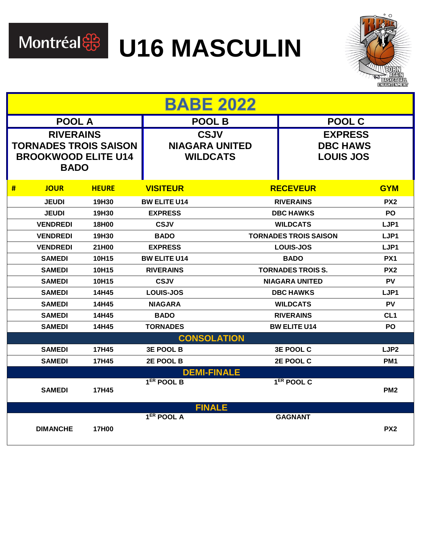

Montréal & U16 MASCULIN



|                                                                                               | <b>BABE 2022</b> |              |                                                         |                                                       |                        |                  |  |  |  |
|-----------------------------------------------------------------------------------------------|------------------|--------------|---------------------------------------------------------|-------------------------------------------------------|------------------------|------------------|--|--|--|
|                                                                                               | <b>POOL A</b>    |              |                                                         | <b>POOL B</b>                                         | <b>POOL C</b>          |                  |  |  |  |
| <b>RIVERAINS</b><br><b>TORNADES TROIS SAISON</b><br><b>BROOKWOOD ELITE U14</b><br><b>BADO</b> |                  |              | <b>CSJV</b><br><b>NIAGARA UNITED</b><br><b>WILDCATS</b> | <b>EXPRESS</b><br><b>DBC HAWS</b><br><b>LOUIS JOS</b> |                        |                  |  |  |  |
| #                                                                                             | <b>JOUR</b>      | <b>HEURE</b> | <b>VISITEUR</b>                                         |                                                       | <b>RECEVEUR</b>        | <b>GYM</b>       |  |  |  |
|                                                                                               | <b>JEUDI</b>     | 19H30        | <b>BW ELITE U14</b>                                     |                                                       | <b>RIVERAINS</b>       | PX <sub>2</sub>  |  |  |  |
|                                                                                               | <b>JEUDI</b>     | 19H30        | <b>EXPRESS</b>                                          |                                                       | <b>DBC HAWKS</b>       | <b>PO</b>        |  |  |  |
|                                                                                               | <b>VENDREDI</b>  | 18H00        | <b>CSJV</b>                                             |                                                       | <b>WILDCATS</b>        | LJP1             |  |  |  |
|                                                                                               | <b>VENDREDI</b>  | 19H30        | <b>BADO</b>                                             | <b>TORNADES TROIS SAISON</b>                          |                        | LJP1             |  |  |  |
|                                                                                               | <b>VENDREDI</b>  | 21H00        | <b>EXPRESS</b>                                          | <b>LOUIS-JOS</b>                                      |                        | LJP1             |  |  |  |
|                                                                                               | <b>SAMEDI</b>    | 10H15        | <b>BW ELITE U14</b>                                     | <b>BADO</b>                                           |                        | PX <sub>1</sub>  |  |  |  |
|                                                                                               | <b>SAMEDI</b>    | 10H15        | <b>RIVERAINS</b>                                        | <b>TORNADES TROIS S.</b>                              |                        | PX <sub>2</sub>  |  |  |  |
|                                                                                               | <b>SAMEDI</b>    | 10H15        | <b>CSJV</b>                                             | <b>NIAGARA UNITED</b>                                 |                        | <b>PV</b>        |  |  |  |
|                                                                                               | <b>SAMEDI</b>    | 14H45        | <b>LOUIS-JOS</b>                                        |                                                       | <b>DBC HAWKS</b>       | LJP1             |  |  |  |
|                                                                                               | <b>SAMEDI</b>    | 14H45        | <b>NIAGARA</b>                                          |                                                       | <b>WILDCATS</b>        | <b>PV</b>        |  |  |  |
|                                                                                               | <b>SAMEDI</b>    | 14H45        | <b>BADO</b>                                             |                                                       | <b>RIVERAINS</b>       | CL <sub>1</sub>  |  |  |  |
|                                                                                               | <b>SAMEDI</b>    | 14H45        | <b>TORNADES</b>                                         |                                                       | <b>BW ELITE U14</b>    | PO.              |  |  |  |
|                                                                                               |                  |              |                                                         | <b>CONSOLATION</b>                                    |                        |                  |  |  |  |
|                                                                                               | <b>SAMEDI</b>    | 17H45        | <b>3E POOL B</b>                                        |                                                       | 3E POOL C              | LJP <sub>2</sub> |  |  |  |
|                                                                                               | <b>SAMEDI</b>    | 17H45        | 2E POOL B                                               |                                                       | 2E POOL C              | PM <sub>1</sub>  |  |  |  |
|                                                                                               |                  |              |                                                         | <b>DEMI-FINALE</b>                                    |                        |                  |  |  |  |
|                                                                                               | <b>SAMEDI</b>    | 17H45        | 1 <sup>ER</sup> POOL B                                  |                                                       | 1 <sup>ER</sup> POOL C | PM <sub>2</sub>  |  |  |  |
|                                                                                               |                  |              |                                                         | <b>FINALE</b>                                         |                        |                  |  |  |  |
|                                                                                               | <b>DIMANCHE</b>  | 17H00        | $1ER$ POOL A                                            |                                                       | <b>GAGNANT</b>         | PX <sub>2</sub>  |  |  |  |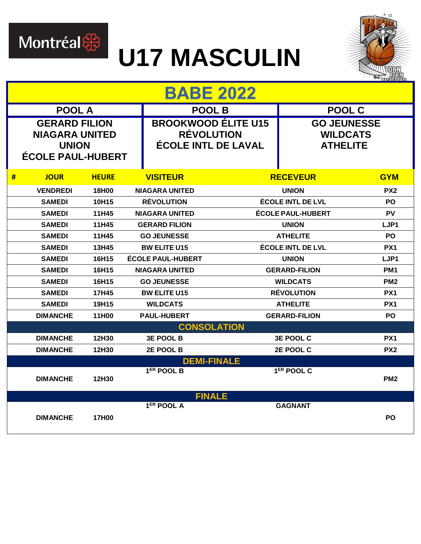

### **U17 MASCULIN**



|                                                                                           | <b>BABE 2022</b> |              |                                                                               |                          |                                                          |                          |                 |
|-------------------------------------------------------------------------------------------|------------------|--------------|-------------------------------------------------------------------------------|--------------------------|----------------------------------------------------------|--------------------------|-----------------|
|                                                                                           | <b>POOL A</b>    |              |                                                                               |                          | <b>POOL B</b>                                            |                          | POOL C          |
| <b>GERARD FILION</b><br><b>NIAGARA UNITED</b><br><b>UNION</b><br><b>ÉCOLE PAUL-HUBERT</b> |                  |              | <b>BROOKWOOD ÉLITE U15</b><br><b>RÉVOLUTION</b><br><b>ÉCOLE INTL DE LAVAL</b> |                          | <b>GO JEUNESSE</b><br><b>WILDCATS</b><br><b>ATHELITE</b> |                          |                 |
| #                                                                                         | <b>JOUR</b>      | <b>HEURE</b> |                                                                               | <b>VISITEUR</b>          |                                                          | <b>RECEVEUR</b>          | <b>GYM</b>      |
|                                                                                           | <b>VENDREDI</b>  | 18H00        |                                                                               | <b>NIAGARA UNITED</b>    |                                                          | <b>UNION</b>             | PX <sub>2</sub> |
|                                                                                           | <b>SAMEDI</b>    | 10H15        |                                                                               | <b>RÉVOLUTION</b>        |                                                          | <b>ÉCOLE INTL DE LVL</b> | <b>PO</b>       |
|                                                                                           | <b>SAMEDI</b>    | 11H45        |                                                                               | <b>NIAGARA UNITED</b>    |                                                          | <b>ÉCOLE PAUL-HUBERT</b> | <b>PV</b>       |
|                                                                                           | <b>SAMEDI</b>    | 11H45        |                                                                               | <b>GERARD FILION</b>     |                                                          | <b>UNION</b>             | LJP1            |
|                                                                                           | <b>SAMEDI</b>    | 11H45        |                                                                               | <b>GO JEUNESSE</b>       |                                                          | <b>ATHELITE</b>          | <b>PO</b>       |
|                                                                                           | <b>SAMEDI</b>    | 13H45        |                                                                               | <b>BW ELITE U15</b>      |                                                          | ÉCOLE INTL DE LVL        | PX <sub>1</sub> |
|                                                                                           | <b>SAMEDI</b>    | 16H15        |                                                                               | <b>ÉCOLE PAUL-HUBERT</b> |                                                          | <b>UNION</b>             | LJP1            |
|                                                                                           | <b>SAMEDI</b>    | 16H15        |                                                                               | <b>NIAGARA UNITED</b>    |                                                          | <b>GERARD-FILION</b>     |                 |
|                                                                                           | <b>SAMEDI</b>    | 16H15        |                                                                               | <b>GO JEUNESSE</b>       |                                                          | <b>WILDCATS</b>          | PM <sub>2</sub> |
|                                                                                           | <b>SAMEDI</b>    | 17H45        |                                                                               | <b>BW ELITE U15</b>      |                                                          | <b>RÉVOLUTION</b>        | PX <sub>1</sub> |
|                                                                                           | <b>SAMEDI</b>    | 19H15        |                                                                               | <b>WILDCATS</b>          |                                                          | <b>ATHELITE</b>          | PX <sub>1</sub> |
|                                                                                           | <b>DIMANCHE</b>  | 11H00        |                                                                               | <b>PAUL-HUBERT</b>       |                                                          | <b>GERARD-FILION</b>     | <b>PO</b>       |
|                                                                                           |                  |              |                                                                               |                          | <b>CONSOLATION</b>                                       |                          |                 |
|                                                                                           | <b>DIMANCHE</b>  | 12H30        |                                                                               | <b>3E POOL B</b>         |                                                          | <b>3E POOL C</b>         | PX <sub>1</sub> |
|                                                                                           | <b>DIMANCHE</b>  | 12H30        |                                                                               | 2E POOL B                |                                                          | 2E POOL C                | PX <sub>2</sub> |
|                                                                                           |                  |              |                                                                               |                          | <b>DEMI-FINALE</b>                                       |                          |                 |
|                                                                                           | <b>DIMANCHE</b>  | 12H30        |                                                                               | 1 <sup>ER</sup> POOL B   |                                                          | 1 <sup>ER</sup> POOL C   | PM <sub>2</sub> |
|                                                                                           |                  |              |                                                                               |                          | <b>FINALE</b>                                            |                          |                 |
|                                                                                           | <b>DIMANCHE</b>  | 17H00        |                                                                               | 1 <sup>ER</sup> POOL A   |                                                          | <b>GAGNANT</b>           | <b>PO</b>       |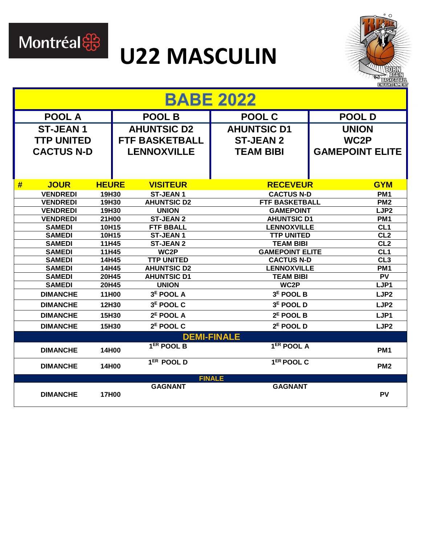

#### **U22 MASCULIN**



|   | <b>BABE 2022</b>               |                |  |                                         |                                         |                        |                                    |  |  |
|---|--------------------------------|----------------|--|-----------------------------------------|-----------------------------------------|------------------------|------------------------------------|--|--|
|   | <b>POOL A</b>                  |                |  | <b>POOL B</b>                           | <b>POOL C</b>                           | <b>POOL D</b>          |                                    |  |  |
|   | <b>ST-JEAN1</b>                |                |  | <b>AHUNTSIC D2</b>                      | <b>AHUNTSIC D1</b>                      | <b>UNION</b>           |                                    |  |  |
|   | <b>TTP UNITED</b>              |                |  | <b>FTF BASKETBALL</b>                   | <b>ST-JEAN 2</b>                        | WC <sub>2</sub> P      |                                    |  |  |
|   | <b>CACTUS N-D</b>              |                |  | <b>LENNOXVILLE</b>                      | <b>TEAM BIBI</b>                        | <b>GAMEPOINT ELITE</b> |                                    |  |  |
|   |                                |                |  |                                         |                                         |                        |                                    |  |  |
|   |                                |                |  |                                         |                                         |                        |                                    |  |  |
| # | <b>JOUR</b>                    | <b>HEURE</b>   |  | <b>VISITEUR</b>                         | <b>RECEVEUR</b>                         |                        | <b>GYM</b>                         |  |  |
|   | <b>VENDREDI</b>                | 19H30          |  | <b>ST-JEAN1</b>                         | <b>CACTUS N-D</b>                       |                        | PM <sub>1</sub>                    |  |  |
|   | <b>VENDREDI</b>                | 19H30          |  | <b>AHUNTSIC D2</b>                      | <b>FTF BASKETBALL</b>                   |                        | PM <sub>2</sub>                    |  |  |
|   | <b>VENDREDI</b>                | 19H30          |  | <b>UNION</b>                            | <b>GAMEPOINT</b>                        |                        | LJP <sub>2</sub>                   |  |  |
|   | <b>VENDREDI</b>                | 21H00          |  | <b>ST-JEAN 2</b>                        | <b>AHUNTSIC D1</b>                      |                        | PM <sub>1</sub>                    |  |  |
|   | <b>SAMEDI</b>                  | 10H15          |  | <b>FTF BBALL</b>                        | <b>LENNOXVILLE</b>                      |                        | CL1                                |  |  |
|   | <b>SAMEDI</b>                  | 10H15          |  | <b>ST-JEAN1</b>                         | <b>TTP UNITED</b>                       |                        | CL2                                |  |  |
|   | <b>SAMEDI</b>                  | 11H45          |  | <b>ST-JEAN 2</b>                        | <b>TEAM BIBI</b>                        |                        | CL2                                |  |  |
|   | <b>SAMEDI</b>                  | 11H45          |  | WC2P                                    | <b>GAMEPOINT ELITE</b>                  |                        | CL1                                |  |  |
|   | <b>SAMEDI</b><br><b>SAMEDI</b> | 14H45<br>14H45 |  | <b>TTP UNITED</b><br><b>AHUNTSIC D2</b> | <b>CACTUS N-D</b><br><b>LENNOXVILLE</b> |                        | CL <sub>3</sub><br>PM <sub>1</sub> |  |  |
|   | <b>SAMEDI</b>                  | 20H45          |  | <b>AHUNTSIC D1</b>                      | <b>TEAM BIBI</b>                        |                        |                                    |  |  |
|   | <b>SAMEDI</b>                  | 20H45          |  | <b>UNION</b>                            | WC2P                                    | PV<br>LJP1             |                                    |  |  |
|   | <b>DIMANCHE</b>                | 11H00          |  | 3 <sup>E</sup> POOL A                   | 3 <sup>E</sup> POOL B                   |                        | LJP <sub>2</sub>                   |  |  |
|   | <b>DIMANCHE</b>                | 12H30          |  | 3 <sup>E</sup> POOL C                   | 3 <sup>E</sup> POOL D                   |                        | LJP <sub>2</sub>                   |  |  |
|   | <b>DIMANCHE</b>                | 15H30          |  | $2E$ POOL A                             | $2E$ POOL B                             |                        | LJP1                               |  |  |
|   | <b>DIMANCHE</b>                | 15H30          |  | $2E$ POOL C                             | $2E$ POOL D                             |                        | LJP <sub>2</sub>                   |  |  |
|   |                                |                |  |                                         | <b>DEMI-FINALE</b>                      |                        |                                    |  |  |
|   | <b>DIMANCHE</b>                | 14H00          |  | 1 <sup>ER</sup> POOL B                  | $1ER$ POOL A                            |                        | PM <sub>1</sub>                    |  |  |
|   | <b>DIMANCHE</b>                | 14H00          |  | 1 <sup>ER</sup> POOL D                  | 1 <sup>ER</sup> POOL C                  |                        | PM <sub>2</sub>                    |  |  |
|   |                                |                |  |                                         | <b>FINALE</b>                           |                        |                                    |  |  |
|   | <b>DIMANCHE</b>                | 17H00          |  | <b>GAGNANT</b>                          | <b>GAGNANT</b>                          |                        | <b>PV</b>                          |  |  |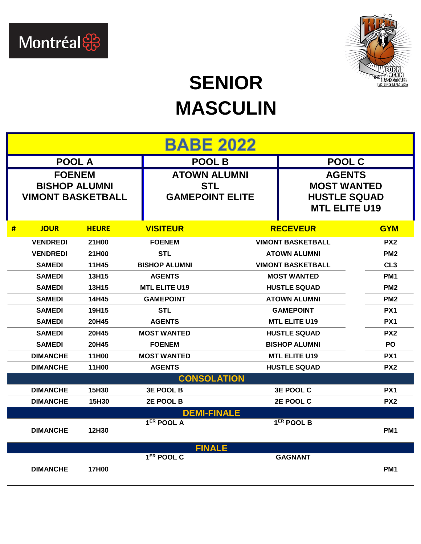



#### **SENIOR MASCULIN**

|                                                                   | <b>BABE 2022</b> |                                                             |                        |                                                                                    |                          |                 |  |
|-------------------------------------------------------------------|------------------|-------------------------------------------------------------|------------------------|------------------------------------------------------------------------------------|--------------------------|-----------------|--|
|                                                                   | <b>POOL A</b>    |                                                             | <b>POOL B</b>          |                                                                                    | <b>POOL C</b>            |                 |  |
| <b>FOENEM</b><br><b>BISHOP ALUMNI</b><br><b>VIMONT BASKETBALL</b> |                  | <b>ATOWN ALUMNI</b><br><b>STL</b><br><b>GAMEPOINT ELITE</b> |                        | <b>AGENTS</b><br><b>MOST WANTED</b><br><b>HUSTLE SQUAD</b><br><b>MTL ELITE U19</b> |                          |                 |  |
| #                                                                 | <b>JOUR</b>      | <b>HEURE</b>                                                | <b>VISITEUR</b>        |                                                                                    | <b>RECEVEUR</b>          | <b>GYM</b>      |  |
|                                                                   | <b>VENDREDI</b>  | 21H00                                                       | <b>FOENEM</b>          |                                                                                    | <b>VIMONT BASKETBALL</b> | PX <sub>2</sub> |  |
|                                                                   | <b>VENDREDI</b>  | 21H00                                                       | <b>STL</b>             |                                                                                    | <b>ATOWN ALUMNI</b>      | PM <sub>2</sub> |  |
|                                                                   | <b>SAMEDI</b>    | 11H45                                                       | <b>BISHOP ALUMNI</b>   |                                                                                    | <b>VIMONT BASKETBALL</b> | CL <sub>3</sub> |  |
|                                                                   | <b>SAMEDI</b>    | 13H15                                                       | <b>AGENTS</b>          |                                                                                    | <b>MOST WANTED</b>       | PM <sub>1</sub> |  |
|                                                                   | <b>SAMEDI</b>    | 13H15                                                       | <b>MTL ELITE U19</b>   | <b>HUSTLE SQUAD</b>                                                                |                          | PM <sub>2</sub> |  |
|                                                                   | <b>SAMEDI</b>    | 14H45                                                       | <b>GAMEPOINT</b>       | <b>ATOWN ALUMNI</b>                                                                |                          | PM <sub>2</sub> |  |
|                                                                   | <b>SAMEDI</b>    | 19H15                                                       | <b>STL</b>             | <b>GAMEPOINT</b>                                                                   |                          | PX <sub>1</sub> |  |
|                                                                   | <b>SAMEDI</b>    | 20H45                                                       | <b>AGENTS</b>          |                                                                                    | <b>MTL ELITE U19</b>     | PX <sub>1</sub> |  |
|                                                                   | <b>SAMEDI</b>    | 20H45                                                       | <b>MOST WANTED</b>     |                                                                                    | <b>HUSTLE SQUAD</b>      | PX <sub>2</sub> |  |
|                                                                   | <b>SAMEDI</b>    | 20H45                                                       | <b>FOENEM</b>          |                                                                                    | <b>BISHOP ALUMNI</b>     | <b>PO</b>       |  |
|                                                                   | <b>DIMANCHE</b>  | 11H00                                                       | <b>MOST WANTED</b>     |                                                                                    | <b>MTL ELITE U19</b>     | PX <sub>1</sub> |  |
|                                                                   | <b>DIMANCHE</b>  | 11H00                                                       | <b>AGENTS</b>          |                                                                                    | <b>HUSTLE SQUAD</b>      | PX <sub>2</sub> |  |
|                                                                   |                  |                                                             | <b>CONSOLATION</b>     |                                                                                    |                          |                 |  |
|                                                                   | <b>DIMANCHE</b>  | 15H30                                                       | <b>3E POOL B</b>       |                                                                                    | 3E POOL C                | PX1             |  |
|                                                                   | <b>DIMANCHE</b>  | 15H30                                                       | 2E POOL B              |                                                                                    | 2E POOL C                | PX <sub>2</sub> |  |
|                                                                   |                  |                                                             |                        | <b>DEMI-FINALE</b>                                                                 |                          |                 |  |
|                                                                   | <b>DIMANCHE</b>  | 12H30                                                       | 1 <sup>ER</sup> POOL A |                                                                                    | 1 <sup>ER</sup> POOL B   | PM <sub>1</sub> |  |
|                                                                   |                  |                                                             |                        | <b>FINALE</b>                                                                      |                          |                 |  |
|                                                                   | <b>DIMANCHE</b>  | <b>17H00</b>                                                | 1 <sup>ER</sup> POOL C |                                                                                    | <b>GAGNANT</b>           | PM <sub>1</sub> |  |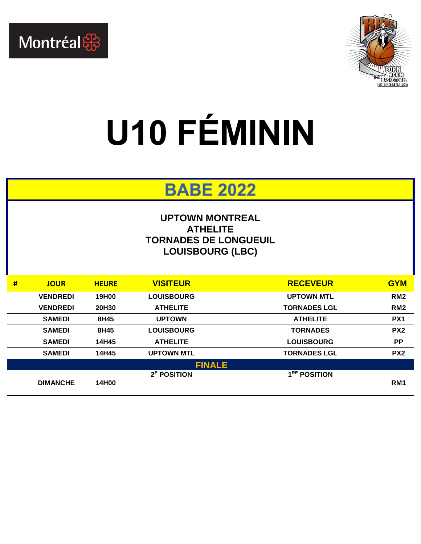



## **U10 FÉMININ**

#### **BABE 2022**

#### **UPTOWN MONTREAL ATHELITE TORNADES DE LONGUEUIL LOUISBOURG (LBC)**

| # | <b>JOUR</b>     | <b>HEURE</b> | <b>VISITEUR</b>         | <b>RECEVEUR</b>          | <b>GYM</b>      |
|---|-----------------|--------------|-------------------------|--------------------------|-----------------|
|   | <b>VENDREDI</b> | 19H00        | <b>LOUISBOURG</b>       | <b>UPTOWN MTL</b>        | RM <sub>2</sub> |
|   | <b>VENDREDI</b> | 20H30        | <b>ATHELITE</b>         | <b>TORNADES LGL</b>      | RM <sub>2</sub> |
|   | <b>SAMEDI</b>   | 8H45         | <b>UPTOWN</b>           | <b>ATHELITE</b>          | PX <sub>1</sub> |
|   | <b>SAMEDI</b>   | 8H45         | <b>LOUISBOURG</b>       | <b>TORNADES</b>          | PX <sub>2</sub> |
|   | <b>SAMEDI</b>   | 14H45        | <b>ATHELITE</b>         | <b>LOUISBOURG</b>        | <b>PP</b>       |
|   | <b>SAMEDI</b>   | 14H45        | <b>UPTOWN MTL</b>       | <b>TORNADES LGL</b>      | PX <sub>2</sub> |
|   |                 |              | <b>FINALE</b>           |                          |                 |
|   | <b>DIMANCHE</b> | 14H00        | 2 <sup>E</sup> POSITION | 1 <sup>RE</sup> POSITION | RM <sub>1</sub> |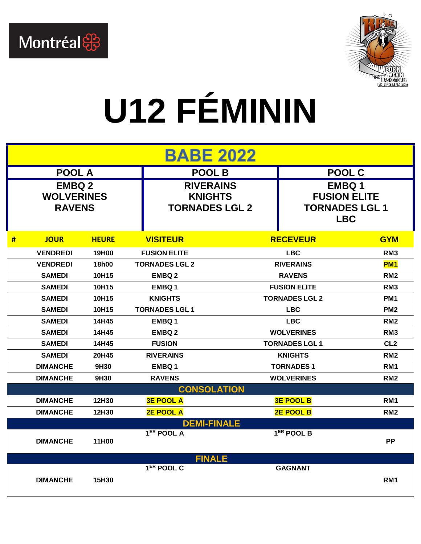



## **U12 FÉMININ**

|   | <b>BABE 2022</b>                                    |              |                                                             |                       |                                                                            |                 |  |  |
|---|-----------------------------------------------------|--------------|-------------------------------------------------------------|-----------------------|----------------------------------------------------------------------------|-----------------|--|--|
|   | <b>POOL A</b>                                       |              | <b>POOL B</b>                                               |                       | <b>POOL C</b>                                                              |                 |  |  |
|   | <b>EMBQ 2</b><br><b>WOLVERINES</b><br><b>RAVENS</b> |              | <b>RIVERAINS</b><br><b>KNIGHTS</b><br><b>TORNADES LGL 2</b> |                       | <b>EMBQ1</b><br><b>FUSION ELITE</b><br><b>TORNADES LGL 1</b><br><b>LBC</b> |                 |  |  |
| # | <b>JOUR</b>                                         | <b>HEURE</b> | <b>VISITEUR</b>                                             |                       | <b>RECEVEUR</b>                                                            | <b>GYM</b>      |  |  |
|   | <b>VENDREDI</b>                                     | 19H00        | <b>FUSION ELITE</b>                                         |                       | <b>LBC</b>                                                                 | RM <sub>3</sub> |  |  |
|   | <b>VENDREDI</b>                                     | 18h00        | <b>TORNADES LGL 2</b>                                       |                       | <b>RIVERAINS</b>                                                           | <b>PM1</b>      |  |  |
|   | <b>SAMEDI</b>                                       | 10H15        | <b>EMBQ2</b>                                                |                       | <b>RAVENS</b>                                                              | RM <sub>2</sub> |  |  |
|   | <b>SAMEDI</b>                                       | 10H15        | <b>EMBO1</b>                                                | <b>FUSION ELITE</b>   |                                                                            | RM <sub>3</sub> |  |  |
|   | <b>SAMEDI</b>                                       | 10H15        | <b>KNIGHTS</b>                                              | <b>TORNADES LGL 2</b> |                                                                            | PM <sub>1</sub> |  |  |
|   | <b>SAMEDI</b>                                       | 10H15        | <b>TORNADES LGL1</b>                                        | <b>LBC</b>            |                                                                            | PM <sub>2</sub> |  |  |
|   | <b>SAMEDI</b>                                       | 14H45        | EMBQ 1                                                      | <b>LBC</b>            |                                                                            | RM <sub>2</sub> |  |  |
|   | <b>SAMEDI</b>                                       | 14H45        | <b>EMBO2</b>                                                |                       | <b>WOLVERINES</b>                                                          | RM <sub>3</sub> |  |  |
|   | <b>SAMEDI</b>                                       | 14H45        | <b>FUSION</b>                                               |                       | <b>TORNADES LGL 1</b>                                                      | CL <sub>2</sub> |  |  |
|   | <b>SAMEDI</b>                                       | 20H45        | <b>RIVERAINS</b>                                            |                       | <b>KNIGHTS</b>                                                             | RM <sub>2</sub> |  |  |
|   | <b>DIMANCHE</b>                                     | 9H30         | <b>EMBO1</b>                                                |                       | <b>TORNADES1</b>                                                           | RM <sub>1</sub> |  |  |
|   | <b>DIMANCHE</b>                                     | 9H30         | <b>RAVENS</b>                                               |                       | <b>WOLVERINES</b>                                                          | RM <sub>2</sub> |  |  |
|   |                                                     |              | <b>CONSOLATION</b>                                          |                       |                                                                            |                 |  |  |
|   | <b>DIMANCHE</b>                                     | 12H30        | <b>3E POOL A</b>                                            |                       | <b>3E POOL B</b>                                                           | RM <sub>1</sub> |  |  |
|   | <b>DIMANCHE</b>                                     | 12H30        | <b>2E POOL A</b>                                            |                       | <b>2E POOL B</b>                                                           | RM <sub>2</sub> |  |  |
|   |                                                     |              | <b>DEMI-FINALE</b>                                          |                       |                                                                            |                 |  |  |
|   | <b>DIMANCHE</b>                                     | 11H00        | 1ER POOL A                                                  |                       | 1 <sup>ER</sup> POOL B                                                     | <b>PP</b>       |  |  |
|   |                                                     |              | <b>FINALE</b>                                               |                       |                                                                            |                 |  |  |
|   | <b>DIMANCHE</b>                                     | 15H30        | $1ER$ POOL C                                                |                       | <b>GAGNANT</b>                                                             | RM <sub>1</sub> |  |  |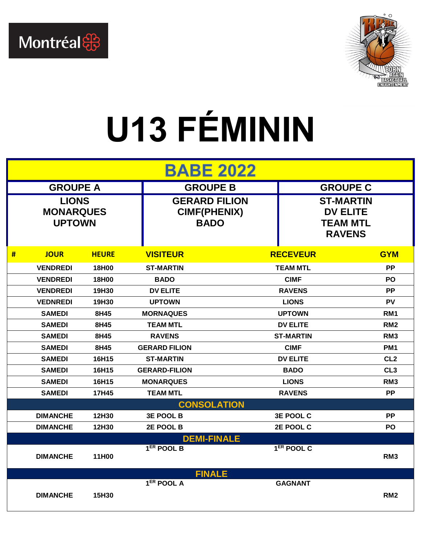



## **U13 FÉMININ**

| <b>BABE 2022</b> |                                                   |              |                        |                                                            |                        |                                                                         |  |
|------------------|---------------------------------------------------|--------------|------------------------|------------------------------------------------------------|------------------------|-------------------------------------------------------------------------|--|
| <b>GROUPE A</b>  |                                                   |              |                        | <b>GROUPE B</b><br><b>GROUPE C</b>                         |                        |                                                                         |  |
|                  | <b>LIONS</b><br><b>MONARQUES</b><br><b>UPTOWN</b> |              |                        | <b>GERARD FILION</b><br><b>CIMF(PHENIX)</b><br><b>BADO</b> |                        | <b>ST-MARTIN</b><br><b>DV ELITE</b><br><b>TEAM MTL</b><br><b>RAVENS</b> |  |
| #                | <b>JOUR</b>                                       | <b>HEURE</b> | <b>VISITEUR</b>        |                                                            | <b>RECEVEUR</b>        | <b>GYM</b>                                                              |  |
|                  | <b>VENDREDI</b>                                   | 18H00        | <b>ST-MARTIN</b>       |                                                            | <b>TEAM MTL</b>        | <b>PP</b>                                                               |  |
|                  | <b>VENDREDI</b>                                   | 18H00        | <b>BADO</b>            |                                                            | <b>CIMF</b>            | PO                                                                      |  |
|                  | <b>VENDREDI</b>                                   | 19H30        | <b>DV ELITE</b>        |                                                            | <b>RAVENS</b>          | <b>PP</b>                                                               |  |
|                  | <b>VEDNREDI</b>                                   | 19H30        | <b>UPTOWN</b>          |                                                            | <b>LIONS</b>           | <b>PV</b>                                                               |  |
|                  | <b>SAMEDI</b>                                     | 8H45         | <b>MORNAQUES</b>       | <b>UPTOWN</b>                                              |                        | RM <sub>1</sub>                                                         |  |
|                  | <b>SAMEDI</b>                                     | 8H45         | <b>TEAM MTL</b>        |                                                            | <b>DV ELITE</b>        |                                                                         |  |
|                  | <b>SAMEDI</b>                                     | 8H45         | <b>RAVENS</b>          |                                                            | <b>ST-MARTIN</b>       |                                                                         |  |
|                  | <b>SAMEDI</b>                                     | 8H45         | <b>GERARD FILION</b>   |                                                            | <b>CIMF</b>            |                                                                         |  |
|                  | <b>SAMEDI</b>                                     | 16H15        | <b>ST-MARTIN</b>       |                                                            | <b>DV ELITE</b>        | CL <sub>2</sub>                                                         |  |
|                  | <b>SAMEDI</b>                                     | 16H15        | <b>GERARD-FILION</b>   |                                                            | <b>BADO</b>            | CL <sub>3</sub>                                                         |  |
|                  | <b>SAMEDI</b>                                     | 16H15        | <b>MONARQUES</b>       |                                                            | <b>LIONS</b>           | RM <sub>3</sub>                                                         |  |
|                  | <b>SAMEDI</b>                                     | 17H45        | <b>TEAM MTL</b>        |                                                            | <b>RAVENS</b>          | <b>PP</b>                                                               |  |
|                  | <b>CONSOLATION</b>                                |              |                        |                                                            |                        |                                                                         |  |
|                  | <b>DIMANCHE</b>                                   | 12H30        | <b>3E POOL B</b>       | <b>3E POOL C</b>                                           |                        | <b>PP</b>                                                               |  |
|                  | <b>DIMANCHE</b>                                   | 12H30        | 2E POOL B              | 2E POOL C                                                  |                        | <b>PO</b>                                                               |  |
|                  | <b>DEMI-FINALE</b>                                |              |                        |                                                            |                        |                                                                         |  |
|                  | <b>DIMANCHE</b>                                   | 11H00        | 1 <sup>ER</sup> POOL B |                                                            | 1 <sup>ER</sup> POOL C | RM <sub>3</sub>                                                         |  |
|                  | <b>FINALE</b>                                     |              |                        |                                                            |                        |                                                                         |  |
|                  | <b>DIMANCHE</b>                                   | 15H30        | 1 <sup>ER</sup> POOL A |                                                            | <b>GAGNANT</b>         | RM <sub>2</sub>                                                         |  |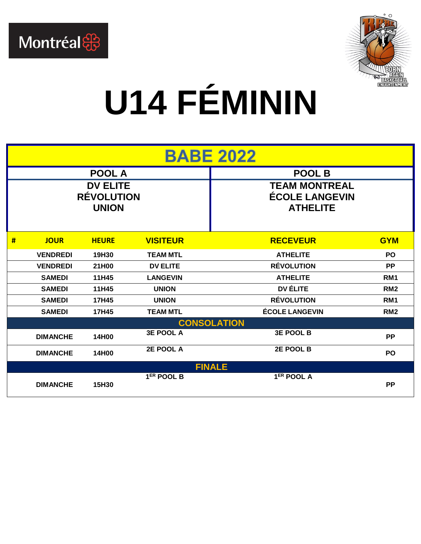



## **U14 FÉMININ**

| <b>BABE 2022</b>                                     |                    |              |                  |                                                                  |                 |  |  |  |
|------------------------------------------------------|--------------------|--------------|------------------|------------------------------------------------------------------|-----------------|--|--|--|
| <b>POOL A</b>                                        |                    |              |                  | <b>POOL B</b>                                                    |                 |  |  |  |
| <b>DV ELITE</b><br><b>RÉVOLUTION</b><br><b>UNION</b> |                    |              |                  | <b>TEAM MONTREAL</b><br><b>ÉCOLE LANGEVIN</b><br><b>ATHELITE</b> |                 |  |  |  |
| #                                                    | <b>JOUR</b>        | <b>HEURE</b> | <b>VISITEUR</b>  | <b>RECEVEUR</b>                                                  | <b>GYM</b>      |  |  |  |
|                                                      | <b>VENDREDI</b>    | 19H30        | <b>TEAM MTL</b>  | <b>ATHELITE</b>                                                  | <b>PO</b>       |  |  |  |
|                                                      | <b>VENDREDI</b>    | 21H00        | <b>DV ELITE</b>  | <b>RÉVOLUTION</b>                                                | <b>PP</b>       |  |  |  |
|                                                      | <b>SAMEDI</b>      | 11H45        | <b>LANGEVIN</b>  | <b>ATHELITE</b>                                                  | RM <sub>1</sub> |  |  |  |
|                                                      | <b>SAMEDI</b>      | 11H45        | <b>UNION</b>     | DV ÉLITE                                                         | RM <sub>2</sub> |  |  |  |
|                                                      | <b>SAMEDI</b>      | 17H45        | <b>UNION</b>     | <b>RÉVOLUTION</b>                                                | RM <sub>1</sub> |  |  |  |
|                                                      | <b>SAMEDI</b>      | 17H45        | <b>TEAM MTL</b>  | <b>ÉCOLE LANGEVIN</b>                                            | RM <sub>2</sub> |  |  |  |
|                                                      | <b>CONSOLATION</b> |              |                  |                                                                  |                 |  |  |  |
|                                                      | <b>DIMANCHE</b>    | 14H00        | <b>3E POOL A</b> | <b>3E POOL B</b>                                                 | <b>PP</b>       |  |  |  |
|                                                      | <b>DIMANCHE</b>    | 14H00        | 2E POOL A        | 2E POOL B                                                        | PO              |  |  |  |
|                                                      | <b>FINALE</b>      |              |                  |                                                                  |                 |  |  |  |
|                                                      | <b>DIMANCHE</b>    | 15H30        | $1ER$ POOL B     | 1 <sup>ER</sup> POOL A                                           | <b>PP</b>       |  |  |  |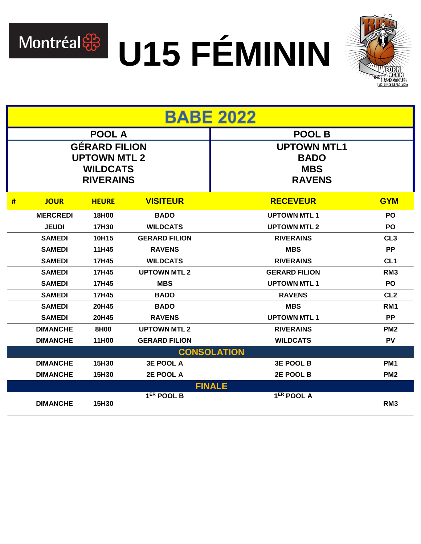

# Montréal & U15 FÉMININ



| <b>BABE 2022</b>   |                                                                                    |              |                        |                                                                  |                 |  |
|--------------------|------------------------------------------------------------------------------------|--------------|------------------------|------------------------------------------------------------------|-----------------|--|
| <b>POOL A</b>      |                                                                                    |              |                        | <b>POOL B</b>                                                    |                 |  |
|                    | <b>GÉRARD FILION</b><br><b>UPTOWN MTL 2</b><br><b>WILDCATS</b><br><b>RIVERAINS</b> |              |                        | <b>UPTOWN MTL1</b><br><b>BADO</b><br><b>MBS</b><br><b>RAVENS</b> |                 |  |
| #                  | <b>JOUR</b>                                                                        | <b>HEURE</b> | <b>VISITEUR</b>        | <b>RECEVEUR</b>                                                  | <b>GYM</b>      |  |
|                    | <b>MERCREDI</b>                                                                    | 18H00        | <b>BADO</b>            | <b>UPTOWN MTL1</b>                                               | <b>PO</b>       |  |
|                    | <b>JEUDI</b>                                                                       | 17H30        | <b>WILDCATS</b>        | <b>UPTOWN MTL 2</b>                                              | <b>PO</b>       |  |
|                    | <b>SAMEDI</b>                                                                      | 10H15        | <b>GERARD FILION</b>   | <b>RIVERAINS</b>                                                 | CL <sub>3</sub> |  |
|                    | <b>SAMEDI</b>                                                                      | 11H45        | <b>RAVENS</b>          | <b>MBS</b>                                                       | <b>PP</b>       |  |
|                    | <b>SAMEDI</b>                                                                      | 17H45        | <b>WILDCATS</b>        | <b>RIVERAINS</b>                                                 | CL <sub>1</sub> |  |
|                    | <b>SAMEDI</b>                                                                      | 17H45        | <b>UPTOWN MTL 2</b>    | <b>GERARD FILION</b>                                             | RM <sub>3</sub> |  |
|                    | <b>SAMEDI</b>                                                                      | 17H45        | <b>MBS</b>             | <b>UPTOWN MTL1</b>                                               | <b>PO</b>       |  |
|                    | <b>SAMEDI</b>                                                                      | 17H45        | <b>BADO</b>            | <b>RAVENS</b>                                                    | CL <sub>2</sub> |  |
|                    | <b>SAMEDI</b>                                                                      | 20H45        | <b>BADO</b>            | <b>MBS</b>                                                       | RM <sub>1</sub> |  |
|                    | <b>SAMEDI</b>                                                                      | 20H45        | <b>RAVENS</b>          | <b>UPTOWN MTL1</b>                                               | <b>PP</b>       |  |
|                    | <b>DIMANCHE</b>                                                                    | 8H00         | <b>UPTOWN MTL 2</b>    | <b>RIVERAINS</b>                                                 | PM <sub>2</sub> |  |
|                    | <b>DIMANCHE</b>                                                                    | 11H00        | <b>GERARD FILION</b>   | <b>WILDCATS</b>                                                  | <b>PV</b>       |  |
| <b>CONSOLATION</b> |                                                                                    |              |                        |                                                                  |                 |  |
|                    | <b>DIMANCHE</b>                                                                    | 15H30        | <b>3E POOL A</b>       | <b>3E POOL B</b>                                                 | PM <sub>1</sub> |  |
|                    | <b>DIMANCHE</b>                                                                    | 15H30        | 2E POOL A              | 2E POOL B                                                        | PM <sub>2</sub> |  |
|                    |                                                                                    |              |                        | <b>FINALE</b>                                                    |                 |  |
|                    | <b>DIMANCHE</b>                                                                    | 15H30        | 1 <sup>ER</sup> POOL B | 1 <sup>ER</sup> POOL A                                           | RM <sub>3</sub> |  |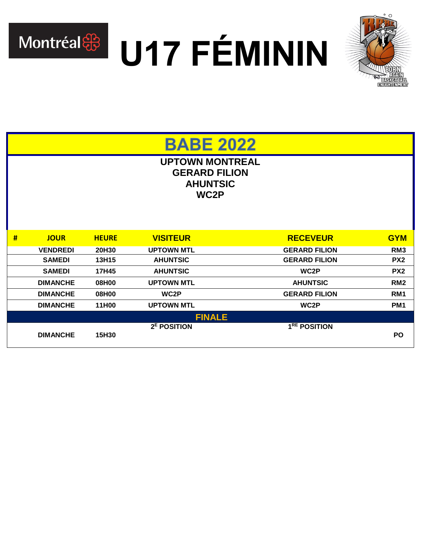

Montréal & U17 FÉMININ



**BABE 2022** 

**UPTOWN MONTREAL GERARD FILION AHUNTSIC WC2P**

| #             | <b>JOUR</b>     | <b>HEURE</b> | <b>VISITEUR</b>         | <b>RECEVEUR</b>          | <b>GYM</b>      |  |
|---------------|-----------------|--------------|-------------------------|--------------------------|-----------------|--|
|               | <b>VENDREDI</b> | 20H30        | <b>UPTOWN MTL</b>       | <b>GERARD FILION</b>     | RM <sub>3</sub> |  |
|               | <b>SAMEDI</b>   | 13H15        | <b>AHUNTSIC</b>         | <b>GERARD FILION</b>     | PX <sub>2</sub> |  |
|               | <b>SAMEDI</b>   | 17H45        | <b>AHUNTSIC</b>         | WC <sub>2</sub> P        | PX <sub>2</sub> |  |
|               | <b>DIMANCHE</b> | 08H00        | <b>UPTOWN MTL</b>       | <b>AHUNTSIC</b>          | RM <sub>2</sub> |  |
|               | <b>DIMANCHE</b> | 08H00        | WC <sub>2</sub> P       | <b>GERARD FILION</b>     | RM <sub>1</sub> |  |
|               | <b>DIMANCHE</b> | 11H00        | <b>UPTOWN MTL</b>       | WC <sub>2</sub> P        | PM <sub>1</sub> |  |
| <b>FINALE</b> |                 |              |                         |                          |                 |  |
|               |                 |              | 2 <sup>E</sup> POSITION | 1 <sup>RE</sup> POSITION |                 |  |
|               | <b>DIMANCHE</b> | 15H30        |                         |                          | <b>PO</b>       |  |
|               |                 |              |                         |                          |                 |  |